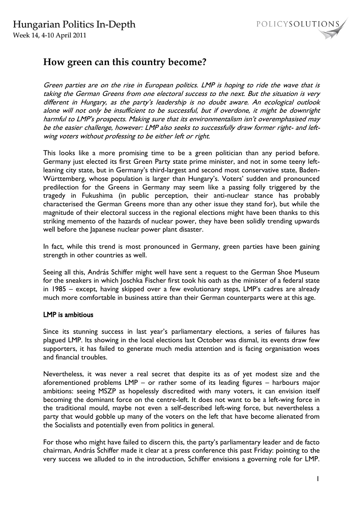



# **How green can this country become?**

Green parties are on the rise in European politics. LMP is hoping to ride the wave that is taking the German Greens from one electoral success to the next. But the situation is very different in Hungary, as the party's leadership is no doubt aware. An ecological outlook alone will not only be insufficient to be successful, but if overdone, it might be downright harmful to LMP's prospects. Making sure that its environmentalism isn't overemphasised may be the easier challenge, however: LMP also seeks to successfully draw former right- and leftwing voters without professing to be either left or right.

This looks like a more promising time to be a green politician than any period before. Germany just elected its first Green Party state prime minister, and not in some teeny leftleaning city state, but in Germany's third-largest and second most conservative state, Baden-Württemberg, whose population is larger than Hungary's. Voters' sudden and pronounced predilection for the Greens in Germany may seem like a passing folly triggered by the tragedy in Fukushima (in public perception, their anti-nuclear stance has probably characterised the German Greens more than any other issue they stand for), but while the magnitude of their electoral success in the regional elections might have been thanks to this striking memento of the hazards of nuclear power, they have been solidly trending upwards well before the Japanese nuclear power plant disaster.

In fact, while this trend is most pronounced in Germany, green parties have been gaining strength in other countries as well.

Seeing all this, András Schiffer might well have sent a request to the German Shoe Museum for the sneakers in which Joschka Fischer first took his oath as the minister of a federal state in 1985 – except, having skipped over a few evolutionary steps, LMP's cadres are already much more comfortable in business attire than their German counterparts were at this age.

#### LMP is ambitious

Since its stunning success in last year's parliamentary elections, a series of failures has plagued LMP. Its showing in the local elections last October was dismal, its events draw few supporters, it has failed to generate much media attention and is facing organisation woes and financial troubles.

Nevertheless, it was never a real secret that despite its as of yet modest size and the aforementioned problems LMP – or rather some of its leading figures – harbours major ambitions: seeing MSZP as hopelessly discredited with many voters, it can envision itself becoming the dominant force on the centre-left. It does not want to be a left-wing force in the traditional mould, maybe not even a self-described left-wing force, but nevertheless a party that would gobble up many of the voters on the left that have become alienated from the Socialists and potentially even from politics in general.

For those who might have failed to discern this, the party's parliamentary leader and de facto chairman, András Schiffer made it clear at a press conference this past Friday: pointing to the very success we alluded to in the introduction, Schiffer envisions a governing role for LMP.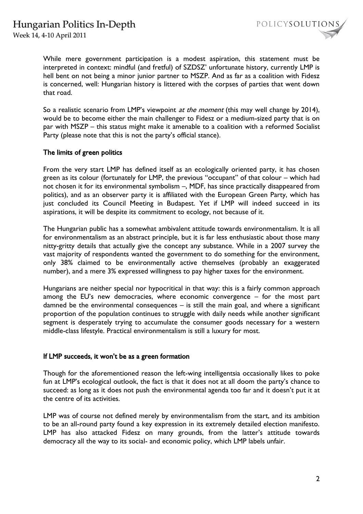Week 14, 4-10 April 2011



While mere government participation is a modest aspiration, this statement must be interpreted in context: mindful (and fretful) of SZDSZ' unfortunate history, currently LMP is hell bent on not being a minor junior partner to MSZP. And as far as a coalition with Fidesz is concerned, well: Hungarian history is littered with the corpses of parties that went down that road.

So a realistic scenario from LMP's viewpoint *at the moment* (this may well change by 2014), would be to become either the main challenger to Fidesz or a medium-sized party that is on par with MSZP – this status might make it amenable to a coalition with a reformed Socialist Party (please note that this is not the party's official stance).

### The limits of green politics

From the very start LMP has defined itself as an ecologically oriented party, it has chosen green as its colour (fortunately for LMP, the previous "occupant" of that colour – which had not chosen it for its environmental symbolism –, MDF, has since practically disappeared from politics), and as an observer party it is affiliated with the European Green Party, which has just concluded its Council Meeting in Budapest. Yet if LMP will indeed succeed in its aspirations, it will be despite its commitment to ecology, not because of it.

The Hungarian public has a somewhat ambivalent attitude towards environmentalism. It is all for environmentalism as an abstract principle, but it is far less enthusiastic about those many nitty-gritty details that actually give the concept any substance. While in a 2007 survey the vast majority of respondents wanted the government to do something for the environment, only 38% claimed to be environmentally active themselves (probably an exaggerated number), and a mere 3% expressed willingness to pay higher taxes for the environment.

Hungarians are neither special nor hypocritical in that way: this is a fairly common approach among the EU's new democracies, where economic convergence – for the most part damned be the environmental consequences – is still the main goal, and where a significant proportion of the population continues to struggle with daily needs while another significant segment is desperately trying to accumulate the consumer goods necessary for a western middle-class lifestyle. Practical environmentalism is still a luxury for most.

#### If LMP succeeds, it won't be as a green formation

Though for the aforementioned reason the left-wing intelligentsia occasionally likes to poke fun at LMP's ecological outlook, the fact is that it does not at all doom the party's chance to succeed: as long as it does not push the environmental agenda too far and it doesn't put it at the centre of its activities.

LMP was of course not defined merely by environmentalism from the start, and its ambition to be an all-round party found a key expression in its extremely detailed election manifesto. LMP has also attacked Fidesz on many grounds, from the latter's attitude towards democracy all the way to its social- and economic policy, which LMP labels unfair.